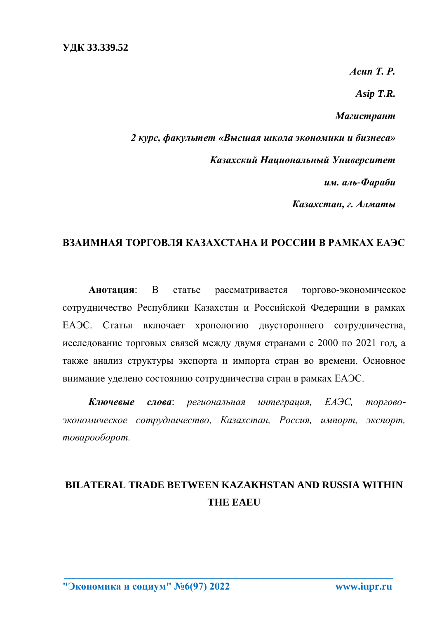*Асип Т. Р. Asip T.R. Магистрант 2 курс, факультет «Высшая школа экономики и бизнеса» Казахский Национальный Университет им. аль-Фараби Казахстан, г. Алматы*

## **ВЗАИМНАЯ ТОРГОВЛЯ КАЗАХСТАНА И РОССИИ В РАМКАХ ЕАЭС**

**Анотация**: В статье рассматривается торгово-экономическое сотрудничество Республики Казахстан и Российской Федерации в рамках ЕАЭС. Статья включает хронологию двустороннего сотрудничества, исследование торговых связей между двумя странами с 2000 по 2021 год, а также анализ структуры экспорта и импорта стран во времени. Основное внимание уделено состоянию сотрудничества стран в рамках ЕАЭС.

*Ключевые слова*: *региональная интеграция, ЕАЭС, торговоэкономическое сотрудничество, Казахстан, Россия, импорт, экспорт, товарооборот.*

# **BILATERAL TRADE BETWEEN KAZAKHSTAN AND RUSSIA WITHIN THE EAEU**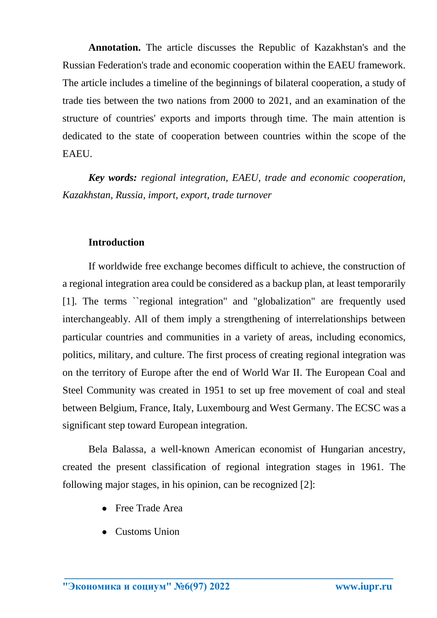**Annotation.** The article discusses the Republic of Kazakhstan's and the Russian Federation's trade and economic cooperation within the EAEU framework. The article includes a timeline of the beginnings of bilateral cooperation, a study of trade ties between the two nations from 2000 to 2021, and an examination of the structure of countries' exports and imports through time. The main attention is dedicated to the state of cooperation between countries within the scope of the EAEU.

*Key words: regional integration, EAEU, trade and economic cooperation, Kazakhstan, Russia, import, export, trade turnover* 

### **Introduction**

If worldwide free exchange becomes difficult to achieve, the construction of a regional integration area could be considered as a backup plan, at least temporarily [1]. The terms ``regional integration" and "globalization" are frequently used interchangeably. All of them imply a strengthening of interrelationships between particular countries and communities in a variety of areas, including economics, politics, military, and culture. The first process of creating regional integration was on the territory of Europe after the end of World War II. The European Coal and Steel Community was created in 1951 to set up free movement of coal and steal between Belgium, France, Italy, Luxembourg and West Germany. The ECSC was a significant step toward European integration.

Bela Balassa, a well-known American economist of Hungarian ancestry, created the present classification of regional integration stages in 1961. The following major stages, in his opinion, can be recognized [2]:

- Free Trade Area
- Customs Union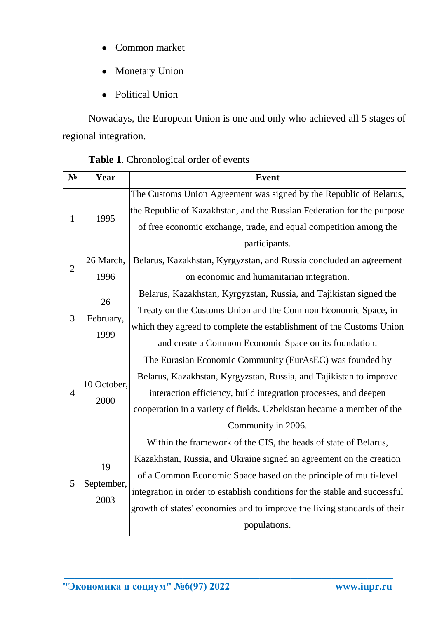- Common market
- Monetary Union
- Political Union

Nowadays, the European Union is one and only who achieved all 5 stages of regional integration.

| $N_2$          | Year                     | <b>Event</b>                                                               |
|----------------|--------------------------|----------------------------------------------------------------------------|
| 1              | 1995                     | The Customs Union Agreement was signed by the Republic of Belarus,         |
|                |                          | the Republic of Kazakhstan, and the Russian Federation for the purpose     |
|                |                          | of free economic exchange, trade, and equal competition among the          |
|                |                          | participants.                                                              |
| $\overline{2}$ | 26 March,                | Belarus, Kazakhstan, Kyrgyzstan, and Russia concluded an agreement         |
|                | 1996                     | on economic and humanitarian integration.                                  |
| 3              | 26<br>February,<br>1999  | Belarus, Kazakhstan, Kyrgyzstan, Russia, and Tajikistan signed the         |
|                |                          | Treaty on the Customs Union and the Common Economic Space, in              |
|                |                          | which they agreed to complete the establishment of the Customs Union       |
|                |                          | and create a Common Economic Space on its foundation.                      |
|                | 10 October,<br>2000      | The Eurasian Economic Community (EurAsEC) was founded by                   |
|                |                          | Belarus, Kazakhstan, Kyrgyzstan, Russia, and Tajikistan to improve         |
| $\overline{4}$ |                          | interaction efficiency, build integration processes, and deepen            |
|                |                          | cooperation in a variety of fields. Uzbekistan became a member of the      |
|                |                          | Community in 2006.                                                         |
| 5              | 19<br>September,<br>2003 | Within the framework of the CIS, the heads of state of Belarus,            |
|                |                          | Kazakhstan, Russia, and Ukraine signed an agreement on the creation        |
|                |                          | of a Common Economic Space based on the principle of multi-level           |
|                |                          | integration in order to establish conditions for the stable and successful |
|                |                          | growth of states' economies and to improve the living standards of their   |
|                |                          | populations.                                                               |

**\_\_\_\_\_\_\_\_\_\_\_\_\_\_\_\_\_\_\_\_\_\_\_\_\_\_\_\_\_\_\_\_\_\_\_\_\_\_\_\_\_\_\_\_\_\_\_\_\_\_\_\_\_\_\_\_\_\_\_\_\_\_\_\_** 

## **Table 1**. Chronological order of events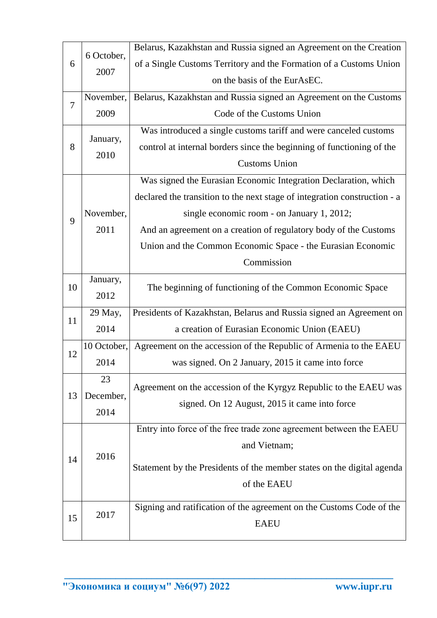| 6                   | 6 October,  | Belarus, Kazakhstan and Russia signed an Agreement on the Creation        |
|---------------------|-------------|---------------------------------------------------------------------------|
|                     |             | of a Single Customs Territory and the Formation of a Customs Union        |
|                     | 2007        | on the basis of the EurAsEC.                                              |
|                     | November,   | Belarus, Kazakhstan and Russia signed an Agreement on the Customs         |
| $\overline{7}$<br>8 | 2009        | Code of the Customs Union                                                 |
|                     |             | Was introduced a single customs tariff and were canceled customs          |
|                     | January,    | control at internal borders since the beginning of functioning of the     |
|                     | 2010        | <b>Customs Union</b>                                                      |
|                     |             | Was signed the Eurasian Economic Integration Declaration, which           |
|                     |             | declared the transition to the next stage of integration construction - a |
|                     | November,   | single economic room - on January 1, 2012;                                |
| 9                   | 2011        | And an agreement on a creation of regulatory body of the Customs          |
|                     |             | Union and the Common Economic Space - the Eurasian Economic               |
|                     |             | Commission                                                                |
|                     | January,    |                                                                           |
| 10                  | 2012        | The beginning of functioning of the Common Economic Space                 |
|                     | 29 May,     | Presidents of Kazakhstan, Belarus and Russia signed an Agreement on       |
| 11                  | 2014        | a creation of Eurasian Economic Union (EAEU)                              |
|                     | 10 October, | Agreement on the accession of the Republic of Armenia to the EAEU         |
| 12                  | 2014        | was signed. On 2 January, 2015 it came into force                         |
|                     | 23          | Agreement on the accession of the Kyrgyz Republic to the EAEU was         |
| 13                  | December,   | signed. On 12 August, 2015 it came into force                             |
|                     | 2014        |                                                                           |
|                     |             | Entry into force of the free trade zone agreement between the EAEU        |
|                     | 2016        | and Vietnam;                                                              |
| 14                  |             | Statement by the Presidents of the member states on the digital agenda    |
|                     |             | of the EAEU                                                               |
|                     |             |                                                                           |
| 15                  | 2017        | Signing and ratification of the agreement on the Customs Code of the      |
|                     |             | <b>EAEU</b>                                                               |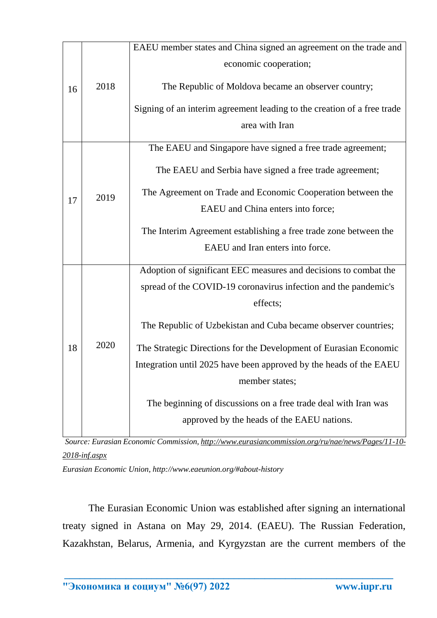|    | 2018 | EAEU member states and China signed an agreement on the trade and       |
|----|------|-------------------------------------------------------------------------|
| 16 |      | economic cooperation;                                                   |
|    |      | The Republic of Moldova became an observer country;                     |
|    |      |                                                                         |
|    |      | Signing of an interim agreement leading to the creation of a free trade |
|    |      | area with Iran                                                          |
|    | 2019 | The EAEU and Singapore have signed a free trade agreement;              |
|    |      |                                                                         |
|    |      | The EAEU and Serbia have signed a free trade agreement;                 |
| 17 |      | The Agreement on Trade and Economic Cooperation between the             |
|    |      | EAEU and China enters into force;                                       |
|    |      | The Interim Agreement establishing a free trade zone between the        |
|    |      | EAEU and Iran enters into force.                                        |
|    |      |                                                                         |
|    | 2020 | Adoption of significant EEC measures and decisions to combat the        |
|    |      | spread of the COVID-19 coronavirus infection and the pandemic's         |
|    |      | effects;                                                                |
|    |      | The Republic of Uzbekistan and Cuba became observer countries;          |
|    |      |                                                                         |
| 18 |      | The Strategic Directions for the Development of Eurasian Economic       |
|    |      | Integration until 2025 have been approved by the heads of the EAEU      |
|    |      | member states;                                                          |
|    |      | The beginning of discussions on a free trade deal with Iran was         |
|    |      | approved by the heads of the EAEU nations.                              |
|    |      |                                                                         |

*Source: Eurasian Economic Commission[, http://www.eurasiancommission.org/ru/nae/news/Pages/11-10-](http://www.eurasiancommission.org/ru/nae/news/Pages/11-10-2018-inf.aspx) [2018-inf.aspx](http://www.eurasiancommission.org/ru/nae/news/Pages/11-10-2018-inf.aspx)*

*Eurasian Economic Union, http://www.eaeunion.org/#about-history*

The Eurasian Economic Union was established after signing an international treaty signed in Astana on May 29, 2014. (EAEU). The Russian Federation, Kazakhstan, Belarus, Armenia, and Kyrgyzstan are the current members of the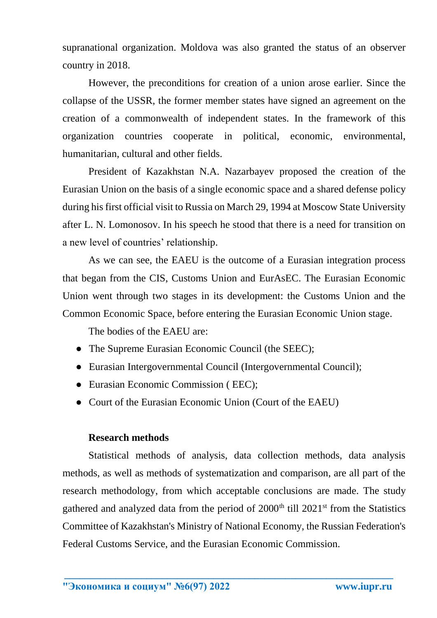supranational organization. Moldova was also granted the status of an observer country in 2018.

However, the preconditions for creation of a union arose earlier. Since the collapse of the USSR, the former member states have signed an agreement on the creation of a commonwealth of independent states. In the framework of this organization countries cooperate in political, economic, environmental, humanitarian, cultural and other fields.

President of Kazakhstan N.A. Nazarbayev proposed the creation of the Eurasian Union on the basis of a single economic space and a shared defense policy during his first official visit to Russia on March 29, 1994 at Moscow State University after L. N. Lomonosov. In his speech he stood that there is a need for transition on a new level of countries' relationship.

As we can see, the EAEU is the outcome of a Eurasian integration process that began from the CIS, Customs Union and EurAsEC. The Eurasian Economic Union went through two stages in its development: the Customs Union and the Common Economic Space, before entering the Eurasian Economic Union stage.

The bodies of the EAEU are:

- The Supreme Eurasian Economic Council (the SEEC);
- Eurasian Intergovernmental Council (Intergovernmental Council);
- Eurasian Economic Commission (EEC);
- Court of the Eurasian Economic Union (Court of the EAEU)

#### **Research methods**

Statistical methods of analysis, data collection methods, data analysis methods, as well as methods of systematization and comparison, are all part of the research methodology, from which acceptable conclusions are made. The study gathered and analyzed data from the period of  $2000<sup>th</sup>$  till  $2021<sup>st</sup>$  from the Statistics Committee of Kazakhstan's Ministry of National Economy, the Russian Federation's Federal Customs Service, and the Eurasian Economic Commission.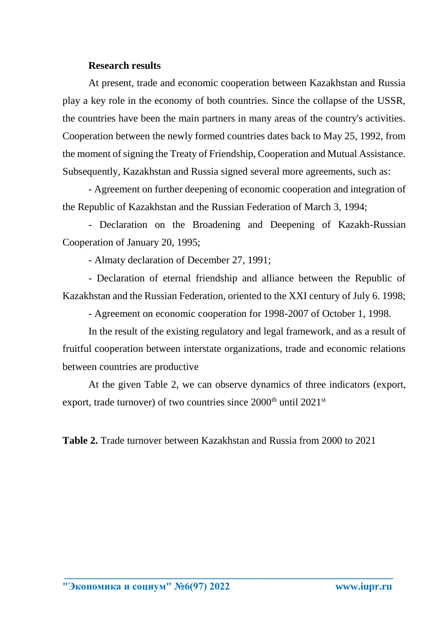#### **Research results**

At present, trade and economic cooperation between Kazakhstan and Russia play a key role in the economy of both countries. Since the collapse of the USSR, the countries have been the main partners in many areas of the country's activities. Cooperation between the newly formed countries dates back to May 25, 1992, from the moment of signing the Treaty of Friendship, Cooperation and Mutual Assistance. Subsequently, Kazakhstan and Russia signed several more agreements, such as:

- Agreement on further deepening of economic cooperation and integration of the Republic of Kazakhstan and the Russian Federation of March 3, 1994;

- Declaration on the Broadening and Deepening of Kazakh-Russian Cooperation of January 20, 1995;

- Almaty declaration of December 27, 1991;

- Declaration of eternal friendship and alliance between the Republic of Kazakhstan and the Russian Federation, oriented to the XXI century of July 6. 1998;

- Agreement on economic cooperation for 1998-2007 of October 1, 1998.

In the result of the existing regulatory and legal framework, and as a result of fruitful cooperation between interstate organizations, trade and economic relations between countries are productive

At the given Table 2, we can observe dynamics of three indicators (export, export, trade turnover) of two countries since 2000<sup>th</sup> until 2021<sup>st</sup>

**Table 2.** Trade turnover between Kazakhstan and Russia from 2000 to 2021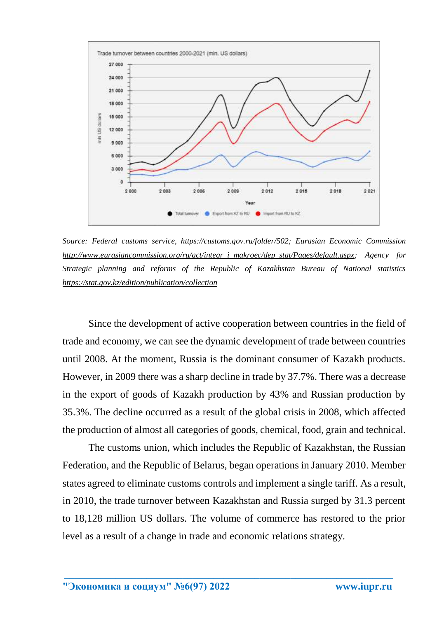

*Source: Federal customs service, [https://customs.gov.ru/folder/502;](https://customs.gov.ru/folder/502) Eurasian Economic Commission [http://www.eurasiancommission.org/ru/act/integr\\_i\\_makroec/dep\\_stat/Pages/default.aspx;](http://www.eurasiancommission.org/ru/act/integr_i_makroec/dep_stat/Pages/default.aspx) Agency for Strategic planning and reforms of the Republic of Kazakhstan Bureau of National statistics <https://stat.gov.kz/edition/publication/collection>*

Since the development of active cooperation between countries in the field of trade and economy, we can see the dynamic development of trade between countries until 2008. At the moment, Russia is the dominant consumer of Kazakh products. However, in 2009 there was a sharp decline in trade by 37.7%. There was a decrease in the export of goods of Kazakh production by 43% and Russian production by 35.3%. The decline occurred as a result of the global crisis in 2008, which affected the production of almost all categories of goods, chemical, food, grain and technical.

The customs union, which includes the Republic of Kazakhstan, the Russian Federation, and the Republic of Belarus, began operations in January 2010. Member states agreed to eliminate customs controls and implement a single tariff. As a result, in 2010, the trade turnover between Kazakhstan and Russia surged by 31.3 percent to 18,128 million US dollars. The volume of commerce has restored to the prior level as a result of a change in trade and economic relations strategy.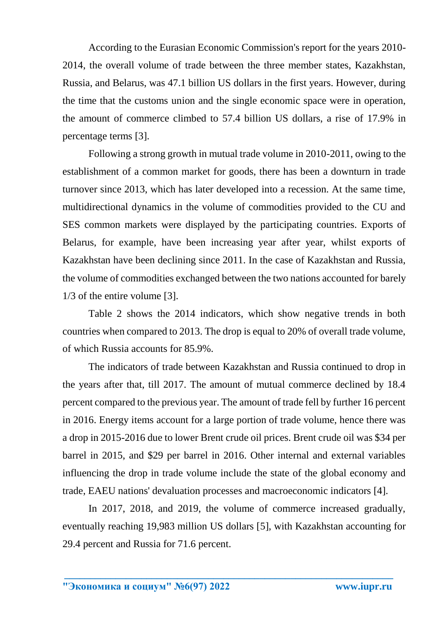According to the Eurasian Economic Commission's report for the years 2010- 2014, the overall volume of trade between the three member states, Kazakhstan, Russia, and Belarus, was 47.1 billion US dollars in the first years. However, during the time that the customs union and the single economic space were in operation, the amount of commerce climbed to 57.4 billion US dollars, a rise of 17.9% in percentage terms [3].

Following a strong growth in mutual trade volume in 2010-2011, owing to the establishment of a common market for goods, there has been a downturn in trade turnover since 2013, which has later developed into a recession. At the same time, multidirectional dynamics in the volume of commodities provided to the CU and SES common markets were displayed by the participating countries. Exports of Belarus, for example, have been increasing year after year, whilst exports of Kazakhstan have been declining since 2011. In the case of Kazakhstan and Russia, the volume of commodities exchanged between the two nations accounted for barely 1/3 of the entire volume [3].

Table 2 shows the 2014 indicators, which show negative trends in both countries when compared to 2013. The drop is equal to 20% of overall trade volume, of which Russia accounts for 85.9%.

The indicators of trade between Kazakhstan and Russia continued to drop in the years after that, till 2017. The amount of mutual commerce declined by 18.4 percent compared to the previous year. The amount of trade fell by further 16 percent in 2016. Energy items account for a large portion of trade volume, hence there was a drop in 2015-2016 due to lower Brent crude oil prices. Brent crude oil was \$34 per barrel in 2015, and \$29 per barrel in 2016. Other internal and external variables influencing the drop in trade volume include the state of the global economy and trade, EAEU nations' devaluation processes and macroeconomic indicators [4].

In 2017, 2018, and 2019, the volume of commerce increased gradually, eventually reaching 19,983 million US dollars [5], with Kazakhstan accounting for 29.4 percent and Russia for 71.6 percent.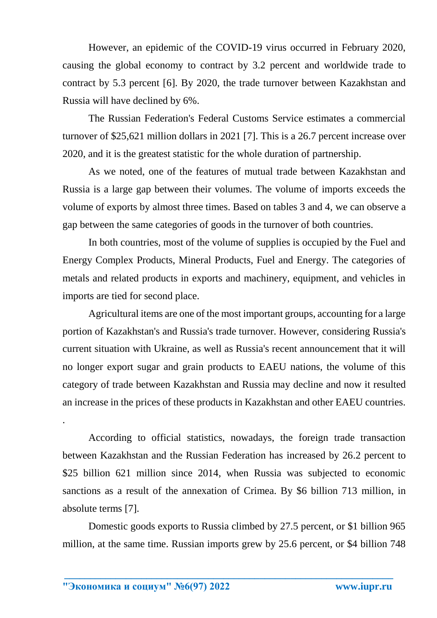However, an epidemic of the COVID-19 virus occurred in February 2020, causing the global economy to contract by 3.2 percent and worldwide trade to contract by 5.3 percent [6]. By 2020, the trade turnover between Kazakhstan and Russia will have declined by 6%.

The Russian Federation's Federal Customs Service estimates a commercial turnover of \$25,621 million dollars in 2021 [7]. This is a 26.7 percent increase over 2020, and it is the greatest statistic for the whole duration of partnership.

As we noted, one of the features of mutual trade between Kazakhstan and Russia is a large gap between their volumes. The volume of imports exceeds the volume of exports by almost three times. Based on tables 3 and 4, we can observe a gap between the same categories of goods in the turnover of both countries.

In both countries, most of the volume of supplies is occupied by the Fuel and Energy Complex Products, Mineral Products, Fuel and Energy. The categories of metals and related products in exports and machinery, equipment, and vehicles in imports are tied for second place.

Agricultural items are one of the most important groups, accounting for a large portion of Kazakhstan's and Russia's trade turnover. However, considering Russia's current situation with Ukraine, as well as Russia's recent announcement that it will no longer export sugar and grain products to EAEU nations, the volume of this category of trade between Kazakhstan and Russia may decline and now it resulted an increase in the prices of these products in Kazakhstan and other EAEU countries.

According to official statistics, nowadays, the foreign trade transaction between Kazakhstan and the Russian Federation has increased by 26.2 percent to \$25 billion 621 million since 2014, when Russia was subjected to economic sanctions as a result of the annexation of Crimea. By \$6 billion 713 million, in absolute terms [7].

Domestic goods exports to Russia climbed by 27.5 percent, or \$1 billion 965 million, at the same time. Russian imports grew by 25.6 percent, or \$4 billion 748

**\_\_\_\_\_\_\_\_\_\_\_\_\_\_\_\_\_\_\_\_\_\_\_\_\_\_\_\_\_\_\_\_\_\_\_\_\_\_\_\_\_\_\_\_\_\_\_\_\_\_\_\_\_\_\_\_\_\_\_\_\_\_\_\_** 

.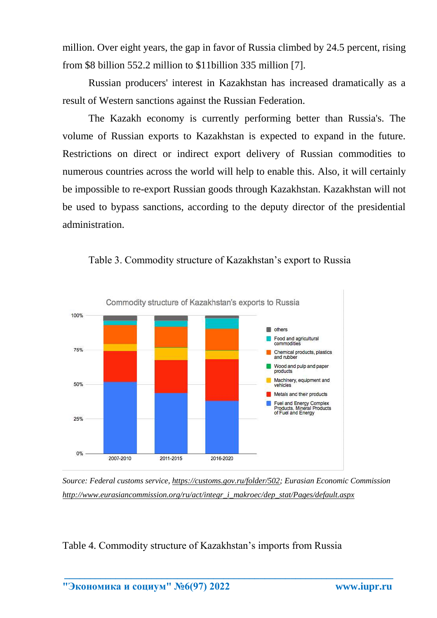million. Over eight years, the gap in favor of Russia climbed by 24.5 percent, rising from \$8 billion 552.2 million to \$11billion 335 million [7].

Russian producers' interest in Kazakhstan has increased dramatically as a result of Western sanctions against the Russian Federation.

The Kazakh economy is currently performing better than Russia's. The volume of Russian exports to Kazakhstan is expected to expand in the future. Restrictions on direct or indirect export delivery of Russian commodities to numerous countries across the world will help to enable this. Also, it will certainly be impossible to re-export Russian goods through Kazakhstan. Kazakhstan will not be used to bypass sanctions, according to the deputy director of the presidential administration.



Table 3. Commodity structure of Kazakhstan's export to Russia

*Source: Federal customs service, [https://customs.gov.ru/folder/502;](https://customs.gov.ru/folder/502) Eurasian Economic Commission [http://www.eurasiancommission.org/ru/act/integr\\_i\\_makroec/dep\\_stat/Pages/default.aspx](http://www.eurasiancommission.org/ru/act/integr_i_makroec/dep_stat/Pages/default.aspx)*

**\_\_\_\_\_\_\_\_\_\_\_\_\_\_\_\_\_\_\_\_\_\_\_\_\_\_\_\_\_\_\_\_\_\_\_\_\_\_\_\_\_\_\_\_\_\_\_\_\_\_\_\_\_\_\_\_\_\_\_\_\_\_\_\_** 

Table 4. Commodity structure of Kazakhstan's imports from Russia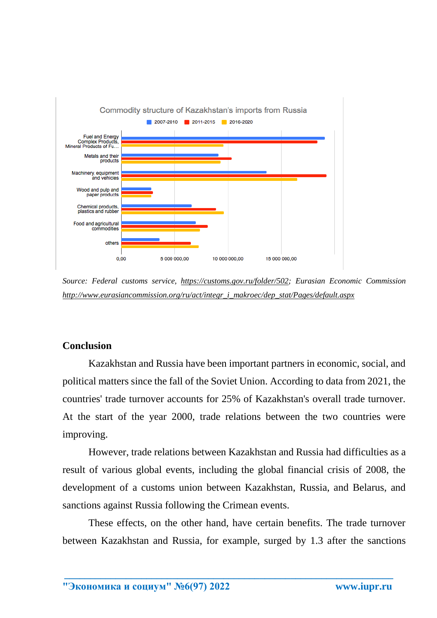

*Source: Federal customs service, [https://customs.gov.ru/folder/502;](https://customs.gov.ru/folder/502) Eurasian Economic Commission [http://www.eurasiancommission.org/ru/act/integr\\_i\\_makroec/dep\\_stat/Pages/default.aspx](http://www.eurasiancommission.org/ru/act/integr_i_makroec/dep_stat/Pages/default.aspx)*

## **Conclusion**

Kazakhstan and Russia have been important partners in economic, social, and political matters since the fall of the Soviet Union. According to data from 2021, the countries' trade turnover accounts for 25% of Kazakhstan's overall trade turnover. At the start of the year 2000, trade relations between the two countries were improving.

However, trade relations between Kazakhstan and Russia had difficulties as a result of various global events, including the global financial crisis of 2008, the development of a customs union between Kazakhstan, Russia, and Belarus, and sanctions against Russia following the Crimean events.

These effects, on the other hand, have certain benefits. The trade turnover between Kazakhstan and Russia, for example, surged by 1.3 after the sanctions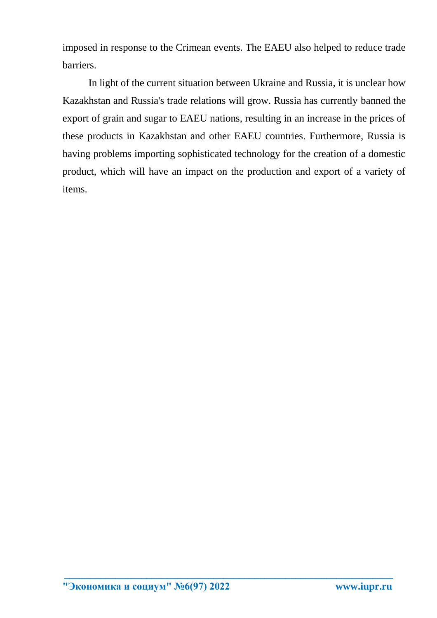imposed in response to the Crimean events. The EAEU also helped to reduce trade barriers.

In light of the current situation between Ukraine and Russia, it is unclear how Kazakhstan and Russia's trade relations will grow. Russia has currently banned the export of grain and sugar to EAEU nations, resulting in an increase in the prices of these products in Kazakhstan and other EAEU countries. Furthermore, Russia is having problems importing sophisticated technology for the creation of a domestic product, which will have an impact on the production and export of a variety of items.